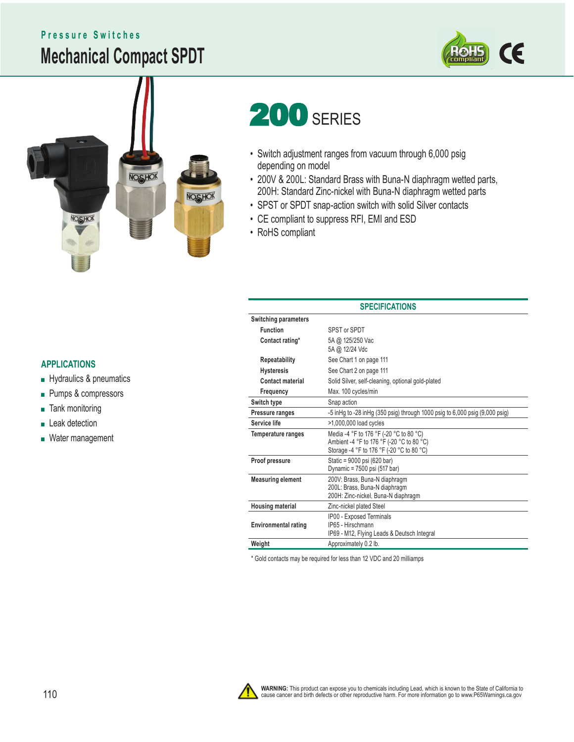## **Mechanical Compact SPDT Pressure Switches**





# **200 SERIES**

- Switch adjustment ranges from vacuum through 6,000 psig depending on model
- 200V & 200L: Standard Brass with Buna-N diaphragm wetted parts, 200H: Standard Zinc-nickel with Buna-N diaphragm wetted parts
- SPST or SPDT snap-action switch with solid Silver contacts
- CE compliant to suppress RFI, EMI and ESD
- RoHS compliant

- Hydraulics & pneumatics
- Pumps & compressors
- Tank monitoring
- Leak detection
- Water management

| <b>SPECIFICATIONS</b>       |                                                                                                                                   |  |
|-----------------------------|-----------------------------------------------------------------------------------------------------------------------------------|--|
| <b>Switching parameters</b> |                                                                                                                                   |  |
| <b>Function</b>             | SPST or SPDT                                                                                                                      |  |
| Contact rating*             | 5A @ 125/250 Vac<br>5A @ 12/24 Vdc                                                                                                |  |
| Repeatability               | See Chart 1 on page 111                                                                                                           |  |
| <b>Hysteresis</b>           | See Chart 2 on page 111                                                                                                           |  |
| <b>Contact material</b>     | Solid Silver, self-cleaning, optional gold-plated                                                                                 |  |
| Frequency                   | Max. 100 cycles/min                                                                                                               |  |
| Switch type                 | Snap action                                                                                                                       |  |
| Pressure ranges             | -5 in Hg to -28 in Hg (350 psig) through 1000 psig to 6,000 psig (9,000 psig)                                                     |  |
| Service life                | >1,000,000 load cycles                                                                                                            |  |
| Temperature ranges          | Media -4 °F to 176 °F (-20 °C to 80 °C)<br>Ambient -4 °F to 176 °F (-20 °C to 80 °C)<br>Storage -4 °F to 176 °F (-20 °C to 80 °C) |  |
| Proof pressure              | Static = 9000 psi (620 bar)<br>Dynamic = 7500 psi (517 bar)                                                                       |  |
| <b>Measuring element</b>    | 200V: Brass, Buna-N diaphragm<br>200L: Brass, Buna-N diaphragm<br>200H: Zinc-nickel, Buna-N diaphragm                             |  |
| <b>Housing material</b>     | Zinc-nickel plated Steel                                                                                                          |  |
| <b>Environmental rating</b> | IP00 - Exposed Terminals<br>IP65 - Hirschmann<br>IP69 - M12, Flying Leads & Deutsch Integral                                      |  |
| Weight                      | Approximately 0.2 lb.                                                                                                             |  |
|                             |                                                                                                                                   |  |

\* Gold contacts may be required for less than 12 VDC and 20 milliamps

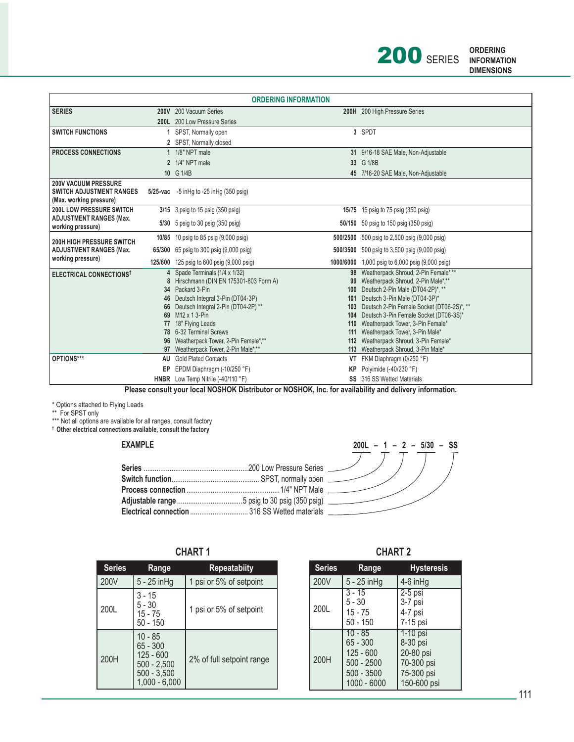

| <b>ORDERING INFORMATION</b>                                                               |  |                                                         |                  |                                                                                 |
|-------------------------------------------------------------------------------------------|--|---------------------------------------------------------|------------------|---------------------------------------------------------------------------------|
| <b>SERIES</b>                                                                             |  | 200V 200 Vacuum Series                                  |                  | 200H 200 High Pressure Series                                                   |
|                                                                                           |  | 200L 200 Low Pressure Series                            |                  |                                                                                 |
| <b>SWITCH FUNCTIONS</b>                                                                   |  | SPST, Normally open                                     |                  | 3 SPDT                                                                          |
|                                                                                           |  | 2 SPST, Normally closed                                 |                  |                                                                                 |
| <b>PROCESS CONNECTIONS</b>                                                                |  | 1 1/8" NPT male                                         |                  | 31 9/16-18 SAE Male, Non-Adjustable                                             |
|                                                                                           |  | 2 1/4" NPT male                                         |                  | 33 G 1/8B                                                                       |
|                                                                                           |  | 10 G 1/4B                                               |                  | 45 7/16-20 SAE Male, Non-Adjustable                                             |
| <b>200V VACUUM PRESSURE</b><br><b>SWITCH ADJUSTMENT RANGES</b><br>(Max. working pressure) |  | 5/25-vac $-5$ in Hq to $-25$ in Hq (350 psiq)           |                  |                                                                                 |
| <b>200L LOW PRESSURE SWITCH</b>                                                           |  | 3/15 3 psig to 15 psig (350 psig)                       | 15/75            | 15 psig to 75 psig (350 psig)                                                   |
| <b>ADJUSTMENT RANGES (Max.</b><br>working pressure)                                       |  | 5/30 5 psig to 30 psig (350 psig)                       |                  | 50/150 50 psig to 150 psig (350 psig)                                           |
| <b>200H HIGH PRESSURE SWITCH</b>                                                          |  | 10/85 10 psig to 85 psig (9,000 psig)                   |                  | 500/2500 500 psig to 2,500 psig (9,000 psig)                                    |
| <b>ADJUSTMENT RANGES (Max.</b>                                                            |  | 65/300 65 psig to 300 psig (9,000 psig)                 |                  | 500/3500 500 psig to 3,500 psig (9,000 psig)                                    |
| working pressure)                                                                         |  | 125/600 125 psig to 600 psig (9,000 psig)               | 1000/6000        | 1,000 psig to 6,000 psig (9,000 psig)                                           |
| ELECTRICAL CONNECTIONS <sup>T</sup>                                                       |  | 4 Spade Terminals (1/4 x 1/32)                          |                  | Weatherpack Shroud, 2-Pin Female*,**                                            |
|                                                                                           |  | 8 Hirschmann (DIN EN 175301-803 Form A)                 |                  | 99 Weatherpack Shroud, 2-Pin Male*,**                                           |
|                                                                                           |  | 34 Packard 3-Pin<br>46 Deutsch Integral 3-Pin (DT04-3P) | 100 <sub>1</sub> | Deutsch 2-Pin Male (DT04-2P)*, **                                               |
|                                                                                           |  | 66 Deutsch Integral 2-Pin (DT04-2P) **                  | 101              | Deutsch 3-Pin Male (DT04-3P)*<br>103 Deutsch 2-Pin Female Socket (DT06-2S)*, ** |
|                                                                                           |  | 69 M12 x 1 3-Pin                                        |                  | 104 Deutsch 3-Pin Female Socket (DT06-3S)*                                      |
|                                                                                           |  | 18" Flying Leads                                        |                  | 110 Weatherpack Tower, 3-Pin Female*                                            |
|                                                                                           |  | 78 6-32 Terminal Screws                                 |                  | Weatherpack Tower, 3-Pin Male*                                                  |
|                                                                                           |  | 96 Weatherpack Tower, 2-Pin Female*,**                  |                  | 112 Weatherpack Shroud, 3-Pin Female*                                           |
|                                                                                           |  | 97 Weatherpack Tower, 2-Pin Male*,**                    |                  | 113 Weatherpack Shroud, 3-Pin Male*                                             |
| OPTIONS***                                                                                |  | <b>AU</b> Gold Plated Contacts                          | VT               | FKM Diaphragm (0/250 °F)                                                        |
|                                                                                           |  | EP EPDM Diaphragm $(-10/250 \degree F)$                 | KP.              | Polyimide (-40/230 °F)                                                          |
|                                                                                           |  | HNBR Low Temp Nitrile (-40/110 °F)                      |                  | <b>SS</b> 316 SS Wetted Materials                                               |

 **Please consult your local NOSHOK Distributor or NOSHOK, Inc. for availability and delivery information.**

\* Options attached to Flying Leads

\*\* For SPST only

\*\*\* Not all options are available for all ranges, consult factory

**† Other electrical connections available, consult the factory**

### **EXAMPLE**



| CHART |
|-------|
|-------|

| <b>Series</b> | Range                                                                                     | <b>Repeatabiity</b>       |
|---------------|-------------------------------------------------------------------------------------------|---------------------------|
| 200V          | $5 - 25$ in Hg                                                                            | 1 psi or 5% of setpoint   |
| 200L          | $3 - 15$<br>$5 - 30$<br>$15 - 75$<br>$50 - 150$                                           | 1 psi or 5% of setpoint   |
| 200H          | $10 - 85$<br>65 - 300<br>$125 - 600$<br>$500 - 2,500$<br>$500 - 3.500$<br>$1,000 - 6,000$ | 2% of full setpoint range |

**CHART 1 CHART 2**

| <b>Series</b> | Range                                                                                 | <b>Hysteresis</b>                                                            |
|---------------|---------------------------------------------------------------------------------------|------------------------------------------------------------------------------|
| 200V          | 5 - 25 inHg                                                                           | 4-6 inHg                                                                     |
| 200L          | $3 - 15$<br>$5 - 30$<br>$15 - 75$<br>$50 - 150$                                       | $2-5$ psi<br>3-7 psi<br>4-7 psi<br>7-15 psi                                  |
| 200H          | $10 - 85$<br>$65 - 300$<br>$125 - 600$<br>$500 - 2500$<br>500 - 3500<br>$1000 - 6000$ | 1-10 psi<br>8-30 psi<br>20-80 psi<br>70-300 psi<br>75-300 psi<br>150-600 psi |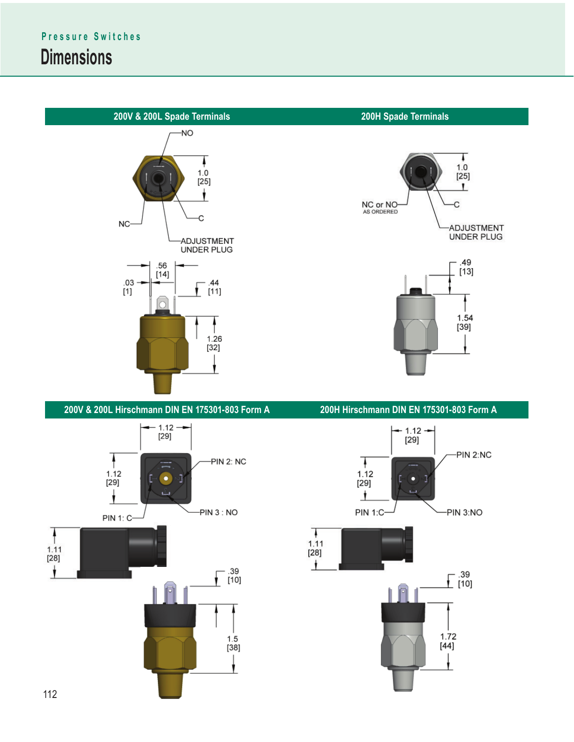





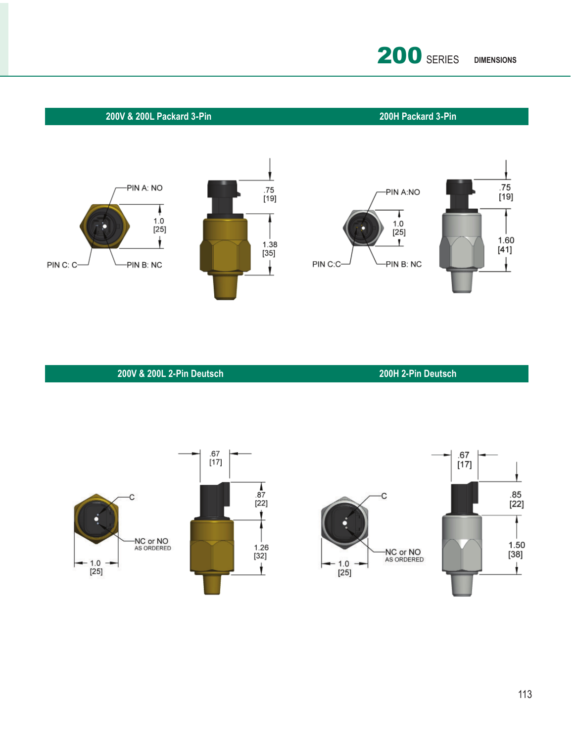

### **200V & 200L Packard 3-Pin**

**200H Packard 3-Pin** 



**200V & 200L 2-Pin Deutsch**

**200H 2-Pin Deutsch**

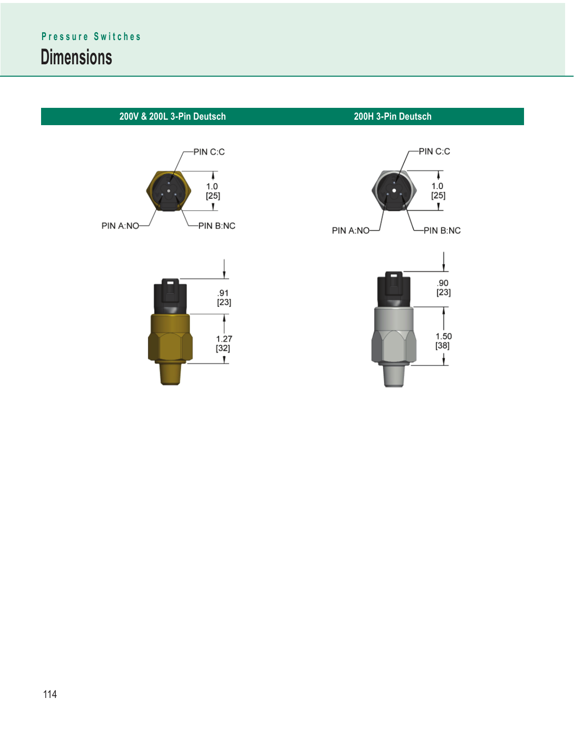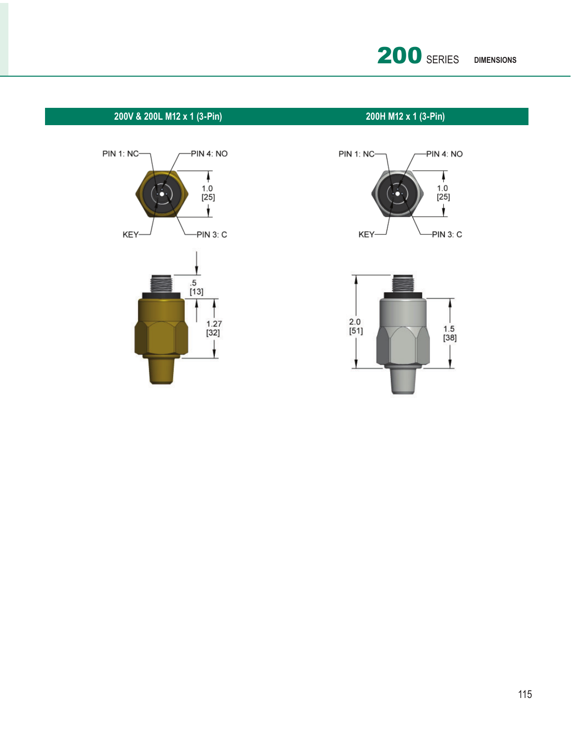

### **200V & 200L M12 x 1 (3-Pin) 200H M12 x 1 (3-Pin)**





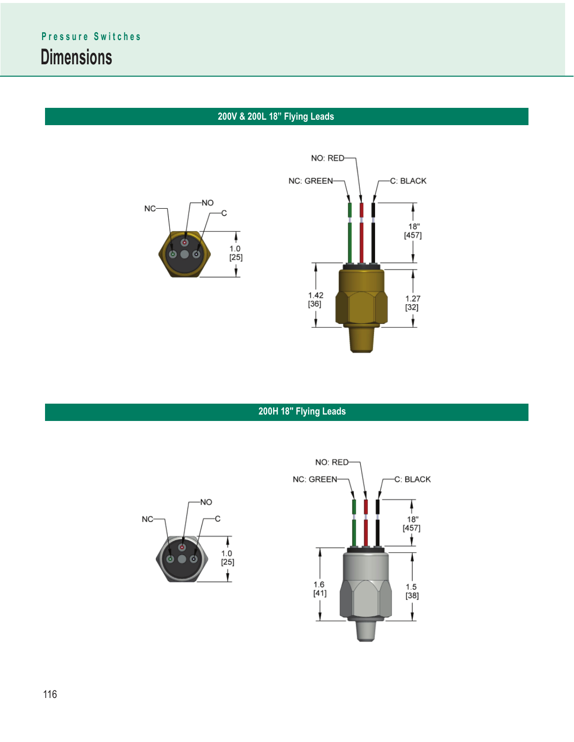### **200V & 200L 18" Flying Leads**





**200H 18" Flying Leads**